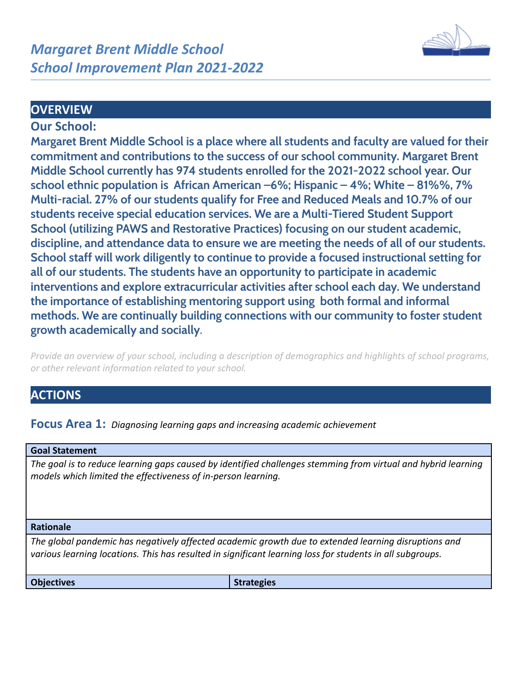

## **OVERVIEW**

## **Our School:**

**Margaret Brent Middle School is a place where all students and faculty are valued for their commitment and contributions to the success of our school community. Margaret Brent Middle School currently has 974 students enrolled for the 2021-2022 school year. Our school ethnic population is African American –6%; Hispanic – 4%; White – 81%%, 7% Multi-racial. 27% of our students qualify for Free and Reduced Meals and 10.7% of our students receive special education services. We are a Multi-Tiered Student Support School (utilizing PAWS and Restorative Practices) focusing on our student academic, discipline, and attendance data to ensure we are meeting the needs of all of our students. School staff will work diligently to continue to provide a focused instructional setting for all of our students. The students have an opportunity to participate in academic interventions and explore extracurricular activities after school each day. We understand the importance of establishing mentoring support using both formal and informal methods. We are continually building connections with our community to foster student growth academically and socially.**

*Provide an overview of your school, including a description of demographics and highlights of school programs, or other relevant information related to your school.*

# **ACTIONS**

**Focus Area 1:** *Diagnosing learning gaps and increasing academic achievement*

#### **Goal Statement**

*The goal is to reduce learning gaps caused by identified challenges stemming from virtual and hybrid learning models which limited the effectiveness of in-person learning.*

#### **Rationale**

*The global pandemic has negatively affected academic growth due to extended learning disruptions and various learning locations. This has resulted in significant learning loss for students in all subgroups.*

**Objectives Strategies Strategies**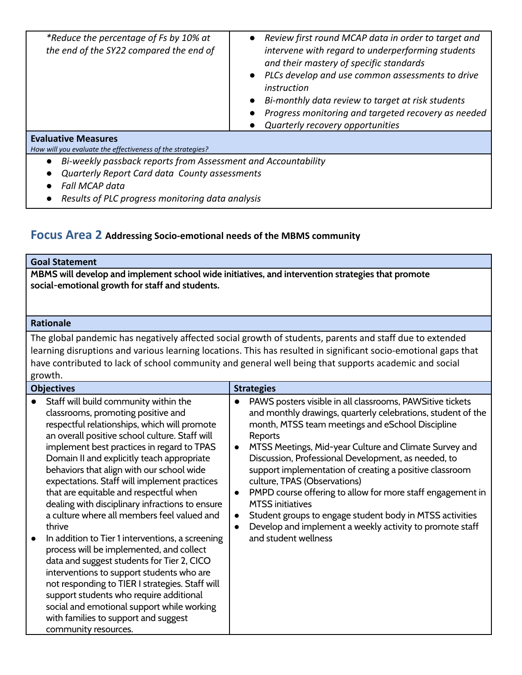| *Reduce the percentage of Fs by 10% at<br>the end of the SY22 compared the end of        | • Review first round MCAP data in order to target and<br>intervene with regard to underperforming students<br>and their mastery of specific standards<br>PLCs develop and use common assessments to drive<br>instruction<br>Bi-monthly data review to target at risk students<br>Progress monitoring and targeted recovery as needed<br>Quarterly recovery opportunities |
|------------------------------------------------------------------------------------------|--------------------------------------------------------------------------------------------------------------------------------------------------------------------------------------------------------------------------------------------------------------------------------------------------------------------------------------------------------------------------|
| <b>Evaluative Measures</b><br>How will you evaluate the effectiveness of the strategies? |                                                                                                                                                                                                                                                                                                                                                                          |
| Bi-weekly passback reports from Assessment and Accountability                            |                                                                                                                                                                                                                                                                                                                                                                          |
| Quarterly Report Card data County assessments                                            |                                                                                                                                                                                                                                                                                                                                                                          |
| <b>Fall MCAP data</b>                                                                    |                                                                                                                                                                                                                                                                                                                                                                          |

*● Results of PLC progress monitoring data analysis*

## **Focus Area 2 Addressing Socio-emotional needs of the MBMS community**

#### **Goal Statement**

**MBMS will develop and implement school wide initiatives, and intervention strategies that promote social-emotional growth for staff and students.**

### **Rationale**

The global pandemic has negatively affected social growth of students, parents and staff due to extended learning disruptions and various learning locations. This has resulted in significant socio-emotional gaps that have contributed to lack of school community and general well being that supports academic and social growth.

| <b>Objectives</b>                                                                                                                                                                                                                                                                                                                                                                                                                                                                                                                                                                                                                                                                                                                                                                                                                                                                                                                   | <b>Strategies</b>                                                                                                                                                                                                                                                                                                                                                                                                                                                                                                                                                                                                                                                       |
|-------------------------------------------------------------------------------------------------------------------------------------------------------------------------------------------------------------------------------------------------------------------------------------------------------------------------------------------------------------------------------------------------------------------------------------------------------------------------------------------------------------------------------------------------------------------------------------------------------------------------------------------------------------------------------------------------------------------------------------------------------------------------------------------------------------------------------------------------------------------------------------------------------------------------------------|-------------------------------------------------------------------------------------------------------------------------------------------------------------------------------------------------------------------------------------------------------------------------------------------------------------------------------------------------------------------------------------------------------------------------------------------------------------------------------------------------------------------------------------------------------------------------------------------------------------------------------------------------------------------------|
| Staff will build community within the<br>classrooms, promoting positive and<br>respectful relationships, which will promote<br>an overall positive school culture. Staff will<br>implement best practices in regard to TPAS<br>Domain II and explicitly teach appropriate<br>behaviors that align with our school wide<br>expectations. Staff will implement practices<br>that are equitable and respectful when<br>dealing with disciplinary infractions to ensure<br>a culture where all members feel valued and<br>thrive<br>In addition to Tier 1 interventions, a screening<br>process will be implemented, and collect<br>data and suggest students for Tier 2, CICO<br>interventions to support students who are<br>not responding to TIER I strategies. Staff will<br>support students who require additional<br>social and emotional support while working<br>with families to support and suggest<br>community resources. | PAWS posters visible in all classrooms, PAWSitive tickets<br>and monthly drawings, quarterly celebrations, student of the<br>month, MTSS team meetings and eSchool Discipline<br>Reports<br>MTSS Meetings, Mid-year Culture and Climate Survey and<br>$\bullet$<br>Discussion, Professional Development, as needed, to<br>support implementation of creating a positive classroom<br>culture, TPAS (Observations)<br>PMPD course offering to allow for more staff engagement in<br>$\bullet$<br><b>MTSS</b> initiatives<br>Student groups to engage student body in MTSS activities<br>Develop and implement a weekly activity to promote staff<br>and student wellness |